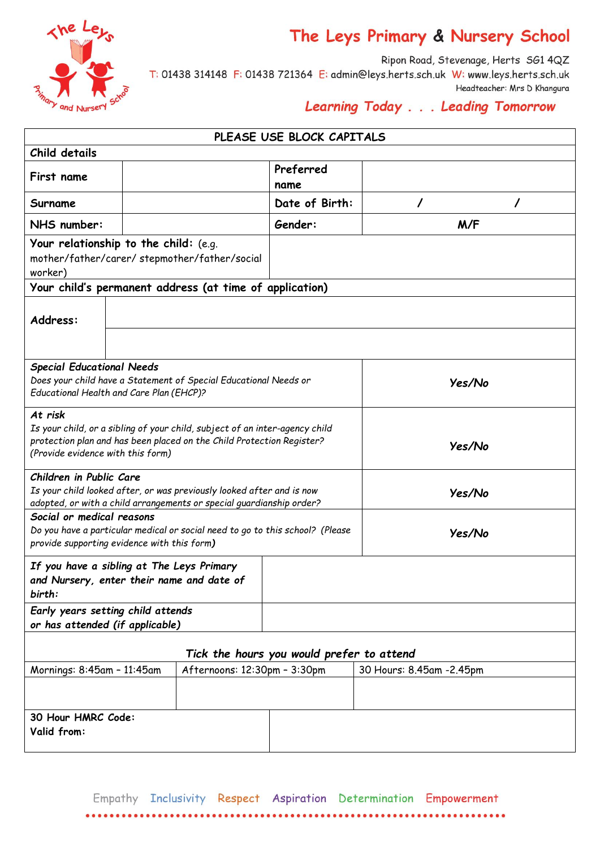

## The Leys Primary & Nursery School

Ripon Road, Stevenage, Herts SG1 4QZ T: 01438 314148 F: 01438 721364 E: admin@leys.herts.sch.uk W: www.leys.herts.sch.uk Headteacher: Mrs D Khangura

## Learning Today . . . Leading Tomorrow

|                                                                                                                                                                          |  |                                                                                                                                                      | PLEASE USE BLOCK CAPITALS |                          |  |  |
|--------------------------------------------------------------------------------------------------------------------------------------------------------------------------|--|------------------------------------------------------------------------------------------------------------------------------------------------------|---------------------------|--------------------------|--|--|
| Child details                                                                                                                                                            |  |                                                                                                                                                      |                           |                          |  |  |
| First name                                                                                                                                                               |  |                                                                                                                                                      | Preferred<br>name         |                          |  |  |
| Surname                                                                                                                                                                  |  |                                                                                                                                                      | Date of Birth:            | 7                        |  |  |
| NHS number:                                                                                                                                                              |  |                                                                                                                                                      | Gender:                   | M/F                      |  |  |
| Your relationship to the child: (e.g.<br>mother/father/carer/stepmother/father/social<br>worker)                                                                         |  |                                                                                                                                                      |                           |                          |  |  |
| Your child's permanent address (at time of application)                                                                                                                  |  |                                                                                                                                                      |                           |                          |  |  |
| Address:                                                                                                                                                                 |  |                                                                                                                                                      |                           |                          |  |  |
| <b>Special Educational Needs</b><br>Educational Health and Care Plan (EHCP)?                                                                                             |  | Does your child have a Statement of Special Educational Needs or                                                                                     |                           | Yes/No                   |  |  |
| At risk<br>(Provide evidence with this form)                                                                                                                             |  | Is your child, or a sibling of your child, subject of an inter-agency child<br>protection plan and has been placed on the Child Protection Register? | Yes/No                    |                          |  |  |
| Children in Public Care<br>Is your child looked after, or was previously looked after and is now<br>adopted, or with a child arrangements or special guardianship order? |  |                                                                                                                                                      |                           | Yes/No                   |  |  |
| Social or medical reasons<br>provide supporting evidence with this form)                                                                                                 |  | Do you have a particular medical or social need to go to this school? (Please                                                                        |                           | Yes/No                   |  |  |
| If you have a sibling at The Leys Primary<br>and Nursery, enter their name and date of<br>birth:                                                                         |  |                                                                                                                                                      |                           |                          |  |  |
| Early years setting child attends<br>or has attended (if applicable)                                                                                                     |  |                                                                                                                                                      |                           |                          |  |  |
| Tick the hours you would prefer to attend                                                                                                                                |  |                                                                                                                                                      |                           |                          |  |  |
| Afternoons: 12:30pm - 3:30pm<br>Mornings: 8:45am - 11:45am                                                                                                               |  |                                                                                                                                                      |                           | 30 Hours: 8.45am -2.45pm |  |  |
|                                                                                                                                                                          |  |                                                                                                                                                      |                           |                          |  |  |
| 30 Hour HMRC Code:<br>Valid from:                                                                                                                                        |  |                                                                                                                                                      |                           |                          |  |  |